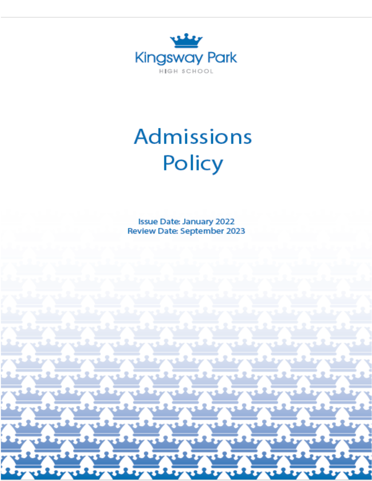

# **Admissions** Policy

**Issue Date: January 2022 Review Date: September 2023**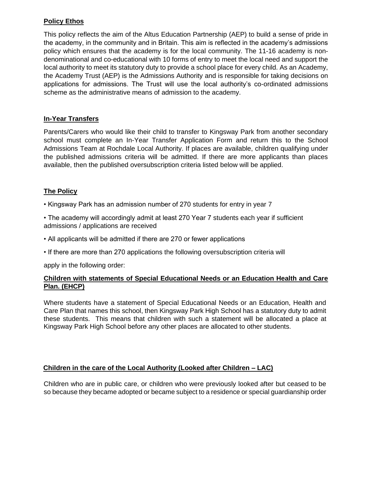# **Policy Ethos**

This policy reflects the aim of the Altus Education Partnership (AEP) to build a sense of pride in the academy, in the community and in Britain. This aim is reflected in the academy's admissions policy which ensures that the academy is for the local community. The 11-16 academy is nondenominational and co-educational with 10 forms of entry to meet the local need and support the local authority to meet its statutory duty to provide a school place for every child. As an Academy, the Academy Trust (AEP) is the Admissions Authority and is responsible for taking decisions on applications for admissions. The Trust will use the local authority's co-ordinated admissions scheme as the administrative means of admission to the academy.

#### **In-Year Transfers**

Parents/Carers who would like their child to transfer to Kingsway Park from another secondary school must complete an In-Year Transfer Application Form and return this to the School Admissions Team at Rochdale Local Authority. If places are available, children qualifying under the published admissions criteria will be admitted. If there are more applicants than places available, then the published oversubscription criteria listed below will be applied.

## **The Policy**

• Kingsway Park has an admission number of 270 students for entry in year 7

- The academy will accordingly admit at least 270 Year 7 students each year if sufficient admissions / applications are received
- All applicants will be admitted if there are 270 or fewer applications
- If there are more than 270 applications the following oversubscription criteria will

apply in the following order:

#### **Children with statements of Special Educational Needs or an Education Health and Care Plan. (EHCP)**

Where students have a statement of Special Educational Needs or an Education, Health and Care Plan that names this school, then Kingsway Park High School has a statutory duty to admit these students. This means that children with such a statement will be allocated a place at Kingsway Park High School before any other places are allocated to other students.

#### **Children in the care of the Local Authority (Looked after Children – LAC)**

Children who are in public care, or children who were previously looked after but ceased to be so because they became adopted or became subject to a residence or special guardianship order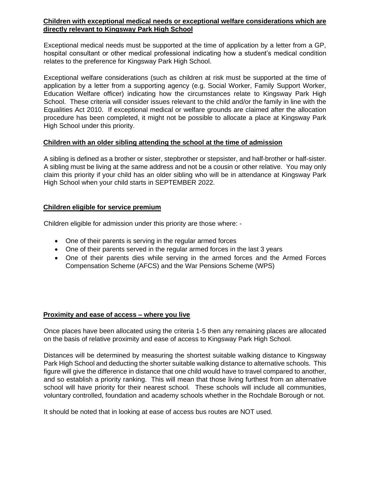#### **Children with exceptional medical needs or exceptional welfare considerations which are directly relevant to Kingsway Park High School**

Exceptional medical needs must be supported at the time of application by a letter from a GP, hospital consultant or other medical professional indicating how a student's medical condition relates to the preference for Kingsway Park High School.

Exceptional welfare considerations (such as children at risk must be supported at the time of application by a letter from a supporting agency (e.g. Social Worker, Family Support Worker, Education Welfare officer) indicating how the circumstances relate to Kingsway Park High School. These criteria will consider issues relevant to the child and/or the family in line with the Equalities Act 2010. If exceptional medical or welfare grounds are claimed after the allocation procedure has been completed, it might not be possible to allocate a place at Kingsway Park High School under this priority.

#### **Children with an older sibling attending the school at the time of admission**

A sibling is defined as a brother or sister, stepbrother or stepsister, and half-brother or half-sister. A sibling must be living at the same address and not be a cousin or other relative. You may only claim this priority if your child has an older sibling who will be in attendance at Kingsway Park High School when your child starts in SEPTEMBER 2022.

#### **Children eligible for service premium**

Children eligible for admission under this priority are those where: -

- One of their parents is serving in the regular armed forces
- One of their parents served in the regular armed forces in the last 3 years
- One of their parents dies while serving in the armed forces and the Armed Forces Compensation Scheme (AFCS) and the War Pensions Scheme (WPS)

#### **Proximity and ease of access – where you live**

Once places have been allocated using the criteria 1-5 then any remaining places are allocated on the basis of relative proximity and ease of access to Kingsway Park High School.

Distances will be determined by measuring the shortest suitable walking distance to Kingsway Park High School and deducting the shorter suitable walking distance to alternative schools. This figure will give the difference in distance that one child would have to travel compared to another, and so establish a priority ranking. This will mean that those living furthest from an alternative school will have priority for their nearest school. These schools will include all communities, voluntary controlled, foundation and academy schools whether in the Rochdale Borough or not.

It should be noted that in looking at ease of access bus routes are NOT used.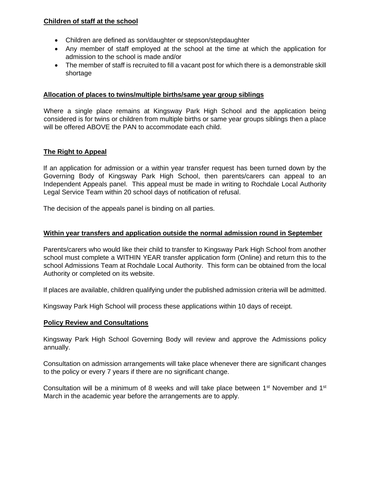#### **Children of staff at the school**

- Children are defined as son/daughter or stepson/stepdaughter
- Any member of staff employed at the school at the time at which the application for admission to the school is made and/or
- The member of staff is recruited to fill a vacant post for which there is a demonstrable skill shortage

#### **Allocation of places to twins/multiple births/same year group siblings**

Where a single place remains at Kingsway Park High School and the application being considered is for twins or children from multiple births or same year groups siblings then a place will be offered ABOVE the PAN to accommodate each child.

## **The Right to Appeal**

If an application for admission or a within year transfer request has been turned down by the Governing Body of Kingsway Park High School, then parents/carers can appeal to an Independent Appeals panel. This appeal must be made in writing to Rochdale Local Authority Legal Service Team within 20 school days of notification of refusal.

The decision of the appeals panel is binding on all parties.

#### **Within year transfers and application outside the normal admission round in September**

Parents/carers who would like their child to transfer to Kingsway Park High School from another school must complete a WITHIN YEAR transfer application form (Online) and return this to the school Admissions Team at Rochdale Local Authority. This form can be obtained from the local Authority or completed on its website.

If places are available, children qualifying under the published admission criteria will be admitted.

Kingsway Park High School will process these applications within 10 days of receipt.

#### **Policy Review and Consultations**

Kingsway Park High School Governing Body will review and approve the Admissions policy annually.

Consultation on admission arrangements will take place whenever there are significant changes to the policy or every 7 years if there are no significant change.

Consultation will be a minimum of 8 weeks and will take place between  $1<sup>st</sup>$  November and  $1<sup>st</sup>$ March in the academic year before the arrangements are to apply.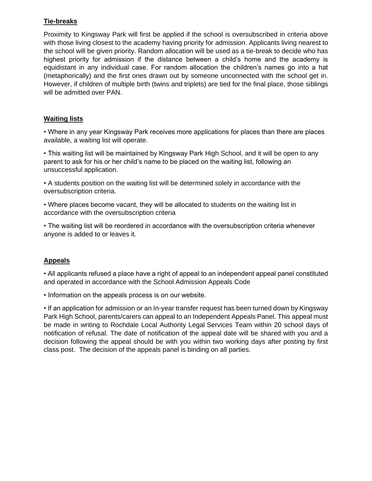# **Tie-breaks**

Proximity to Kingsway Park will first be applied if the school is oversubscribed in criteria above with those living closest to the academy having priority for admission. Applicants living nearest to the school will be given priority. Random allocation will be used as a tie-break to decide who has highest priority for admission if the distance between a child's home and the academy is equidistant in any individual case. For random allocation the children's names go into a hat (metaphorically) and the first ones drawn out by someone unconnected with the school get in. However, if children of multiple birth (twins and triplets) are tied for the final place, those siblings will be admitted over PAN.

## **Waiting lists**

• Where in any year Kingsway Park receives more applications for places than there are places available, a waiting list will operate.

• This waiting list will be maintained by Kingsway Park High School, and it will be open to any parent to ask for his or her child's name to be placed on the waiting list, following an unsuccessful application.

• A students position on the waiting list will be determined solely in accordance with the oversubscription criteria.

• Where places become vacant, they will be allocated to students on the waiting list in accordance with the oversubscription criteria

• The waiting list will be reordered in accordance with the oversubscription criteria whenever anyone is added to or leaves it.

# **Appeals**

• All applicants refused a place have a right of appeal to an independent appeal panel constituted and operated in accordance with the School Admission Appeals Code

• Information on the appeals process is on our website.

• If an application for admission or an In-year transfer request has been turned down by Kingsway Park High School, parents/carers can appeal to an Independent Appeals Panel. This appeal must be made in writing to Rochdale Local Authority Legal Services Team within 20 school days of notification of refusal. The date of notification of the appeal date will be shared with you and a decision following the appeal should be with you within two working days after posting by first class post. The decision of the appeals panel is binding on all parties.